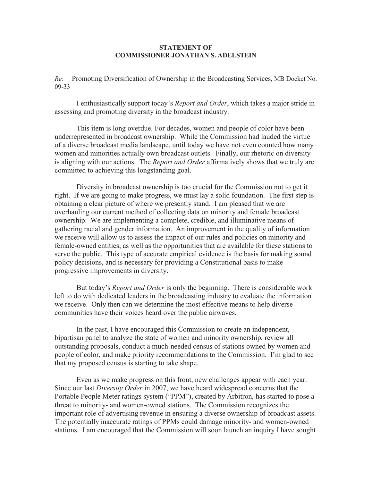## **STATEMENT OF COMMISSIONER JONATHAN S. ADELSTEIN**

*Re*: Promoting Diversification of Ownership in the Broadcasting Services, MB Docket No. 09-33

I enthusiastically support today's *Report and Order*, which takes a major stride in assessing and promoting diversity in the broadcast industry.

This item is long overdue. For decades, women and people of color have been underrepresented in broadcast ownership. While the Commission had lauded the virtue of a diverse broadcast media landscape, until today we have not even counted how many women and minorities actually own broadcast outlets. Finally, our rhetoric on diversity is aligning with our actions. The *Report and Order* affirmatively shows that we truly are committed to achieving this longstanding goal.

Diversity in broadcast ownership is too crucial for the Commission not to get it right. If we are going to make progress, we must lay a solid foundation. The first step is obtaining a clear picture of where we presently stand. I am pleased that we are overhauling our current method of collecting data on minority and female broadcast ownership. We are implementing a complete, credible, and illuminative means of gathering racial and gender information. An improvement in the quality of information we receive will allow us to assess the impact of our rules and policies on minority and female-owned entities, as well as the opportunities that are available for these stations to serve the public. This type of accurate empirical evidence is the basis for making sound policy decisions, and is necessary for providing a Constitutional basis to make progressive improvements in diversity.

But today's *Report and Order* is only the beginning. There is considerable work left to do with dedicated leaders in the broadcasting industry to evaluate the information we receive. Only then can we determine the most effective means to help diverse communities have their voices heard over the public airwaves.

In the past, I have encouraged this Commission to create an independent, bipartisan panel to analyze the state of women and minority ownership, review all outstanding proposals, conduct a much-needed census of stations owned by women and people of color, and make priority recommendations to the Commission. I'm glad to see that my proposed census is starting to take shape.

Even as we make progress on this front, new challenges appear with each year. Since our last *Diversity Order* in 2007, we have heard widespread concerns that the Portable People Meter ratings system ("PPM"), created by Arbitron, has started to pose a threat to minority- and women-owned stations. The Commission recognizes the important role of advertising revenue in ensuring a diverse ownership of broadcast assets. The potentially inaccurate ratings of PPMs could damage minority- and women-owned stations. I am encouraged that the Commission will soon launch an inquiry I have sought